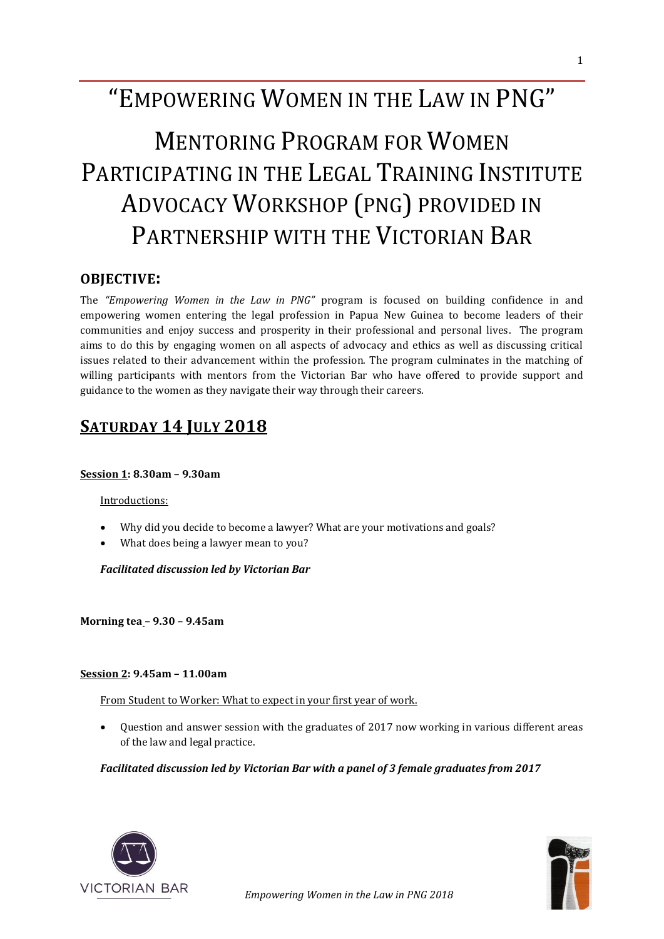## "EMPOWERING WOMEN IN THE LAW IN PNG"

# MENTORING PROGRAM FOR WOMEN PARTICIPATING IN THE LEGAL TRAINING INSTITUTE ADVOCACY WORKSHOP (PNG) PROVIDED IN PARTNERSHIP WITH THE VICTORIAN BAR

#### **OBJECTIVE:**

The *"Empowering Women in the Law in PNG"* program is focused on building confidence in and empowering women entering the legal profession in Papua New Guinea to become leaders of their communities and enjoy success and prosperity in their professional and personal lives. The program aims to do this by engaging women on all aspects of advocacy and ethics as well as discussing critical issues related to their advancement within the profession. The program culminates in the matching of willing participants with mentors from the Victorian Bar who have offered to provide support and guidance to the women as they navigate their way through their careers.

### **SATURDAY 14 JULY 2018**

#### **Session 1: 8.30am – 9.30am**

#### Introductions:

- Why did you decide to become a lawyer? What are your motivations and goals?
- What does being a lawyer mean to you?

*Facilitated discussion led by Victorian Bar* 

**Morning tea – 9.30 – 9.45am**

#### **Session 2: 9.45am – 11.00am**

From Student to Worker: What to expect in your first year of work.

• Question and answer session with the graduates of 2017 now working in various different areas of the law and legal practice.

*Facilitated discussion led by Victorian Bar with a panel of 3 female graduates from 2017*



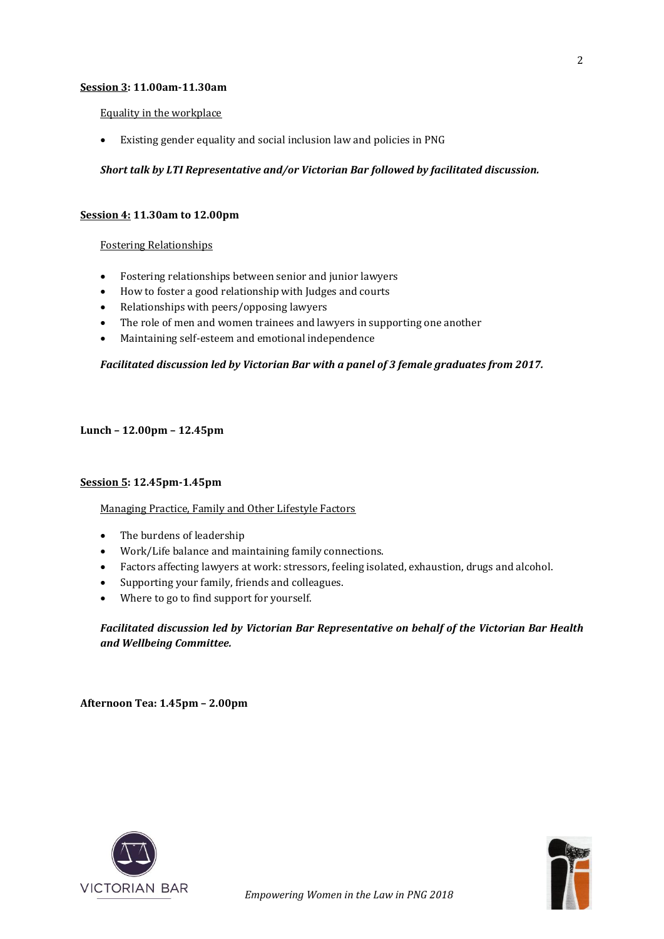#### **Session 3: 11.00am-11.30am**

#### Equality in the workplace

• Existing gender equality and social inclusion law and policies in PNG

#### *Short talk by LTI Representative and/or Victorian Bar followed by facilitated discussion.*

#### **Session 4: 11.30am to 12.00pm**

#### Fostering Relationships

- Fostering relationships between senior and junior lawyers
- How to foster a good relationship with Judges and courts
- Relationships with peers/opposing lawyers
- The role of men and women trainees and lawyers in supporting one another
- Maintaining self-esteem and emotional independence

#### *Facilitated discussion led by Victorian Bar with a panel of 3 female graduates from 2017.*

#### **Lunch – 12.00pm – 12.45pm**

#### **Session 5: 12.45pm-1.45pm**

#### Managing Practice, Family and Other Lifestyle Factors

- The burdens of leadership
- Work/Life balance and maintaining family connections.
- Factors affecting lawyers at work: stressors, feeling isolated, exhaustion, drugs and alcohol.
- Supporting your family, friends and colleagues.
- Where to go to find support for yourself.

#### *Facilitated discussion led by Victorian Bar Representative on behalf of the Victorian Bar Health and Wellbeing Committee.*

**Afternoon Tea: 1.45pm – 2.00pm**





2